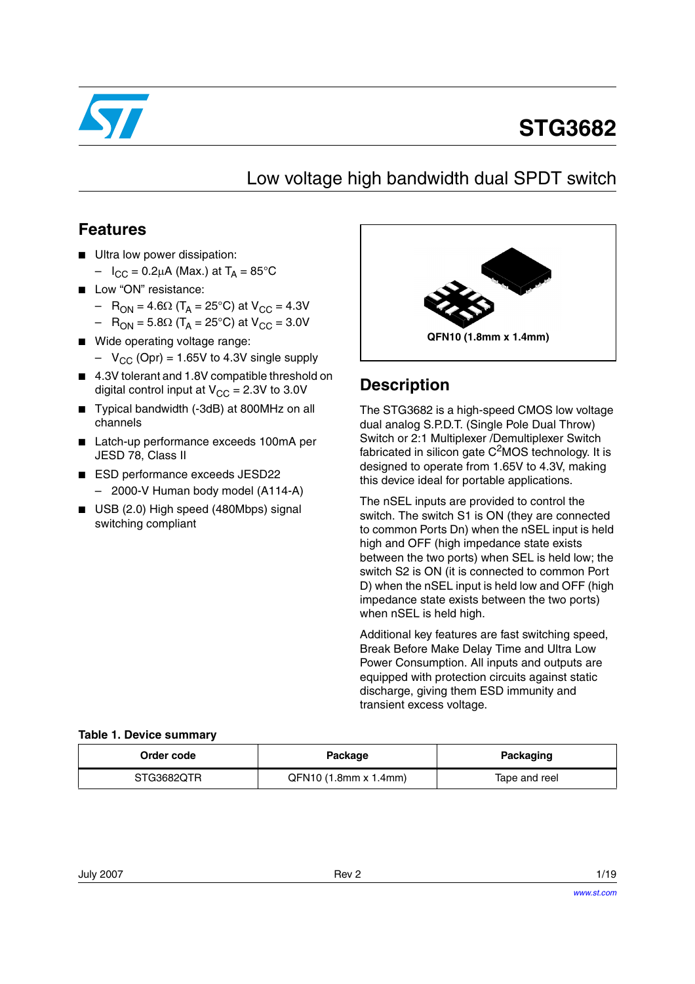

# **STG3682**

## Low voltage high bandwidth dual SPDT switch

### **Features**

- Ultra low power dissipation:
	- $-I_{\rm CC} = 0.2 \mu A$  (Max.) at  $T_A = 85^{\circ}C$
- Low "ON" resistance:
	- R<sub>ON</sub> = 4.6Ω (T<sub>A</sub> = 25°C) at V<sub>CC</sub> = 4.3V
	- R<sub>ON</sub> = 5.8Ω (T<sub>A</sub> = 25°C) at V<sub>CC</sub> = 3.0V
- Wide operating voltage range:
	- $-V_{CC}$  (Opr) = 1.65V to 4.3V single supply
- 4.3V tolerant and 1.8V compatible threshold on digital control input at  $V_{CC} = 2.3V$  to 3.0V
- Typical bandwidth (-3dB) at 800MHz on all channels
- Latch-up performance exceeds 100mA per JESD 78, Class II
- ESD performance exceeds JESD22 – 2000-V Human body model (A114-A)
- USB (2.0) High speed (480Mbps) signal switching compliant



### **Description**

The STG3682 is a high-speed CMOS low voltage dual analog S.P.D.T. (Single Pole Dual Throw) Switch or 2:1 Multiplexer /Demultiplexer Switch fabricated in silicon gate  $C<sup>2</sup>MOS$  technology. It is designed to operate from 1.65V to 4.3V, making this device ideal for portable applications.

The nSEL inputs are provided to control the switch. The switch S1 is ON (they are connected to common Ports Dn) when the nSEL input is held high and OFF (high impedance state exists between the two ports) when SEL is held low; the switch S2 is ON (it is connected to common Port D) when the nSEL input is held low and OFF (high impedance state exists between the two ports) when nSEL is held high.

Additional key features are fast switching speed, Break Before Make Delay Time and Ultra Low Power Consumption. All inputs and outputs are equipped with protection circuits against static discharge, giving them ESD immunity and transient excess voltage.

#### **Table 1. Device summary**

| Order code | Package               | Packaging     |
|------------|-----------------------|---------------|
| STG3682QTR | QFN10 (1.8mm x 1.4mm) | Tape and reel |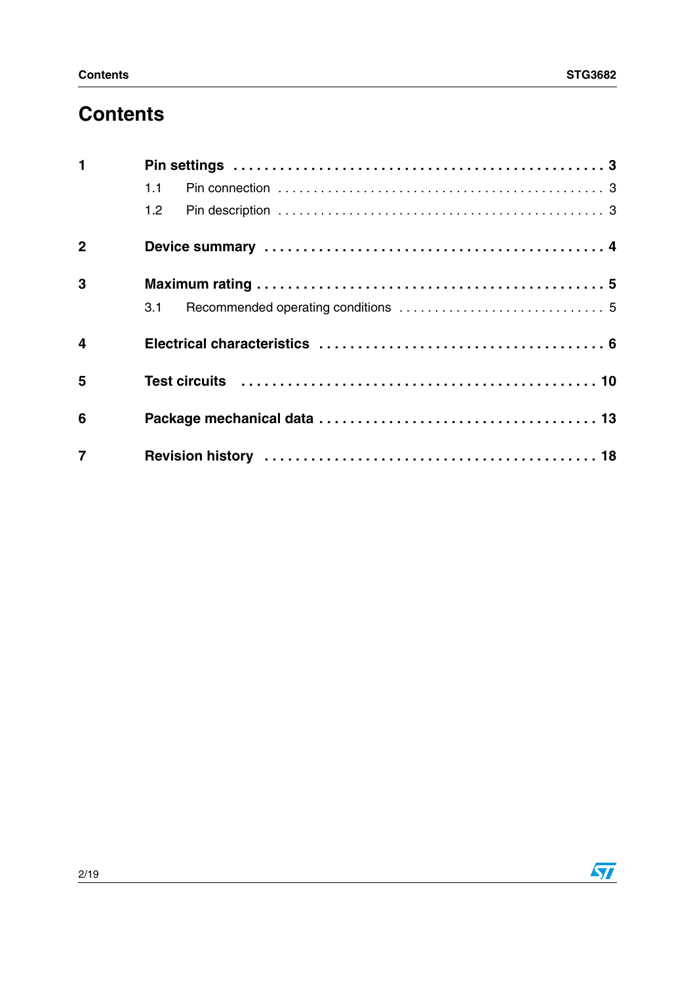## **Contents**

| $\blacksquare$          |                                                                                                                |
|-------------------------|----------------------------------------------------------------------------------------------------------------|
|                         | 1.1                                                                                                            |
|                         |                                                                                                                |
| $\mathbf{2}$            |                                                                                                                |
| 3                       |                                                                                                                |
|                         | 3.1                                                                                                            |
| $\overline{\mathbf{4}}$ |                                                                                                                |
| 5                       | Test circuits (a) and the contract of the contract of the contract of the Test of Test and Test and Test and T |
| 6                       |                                                                                                                |
| $\overline{7}$          |                                                                                                                |

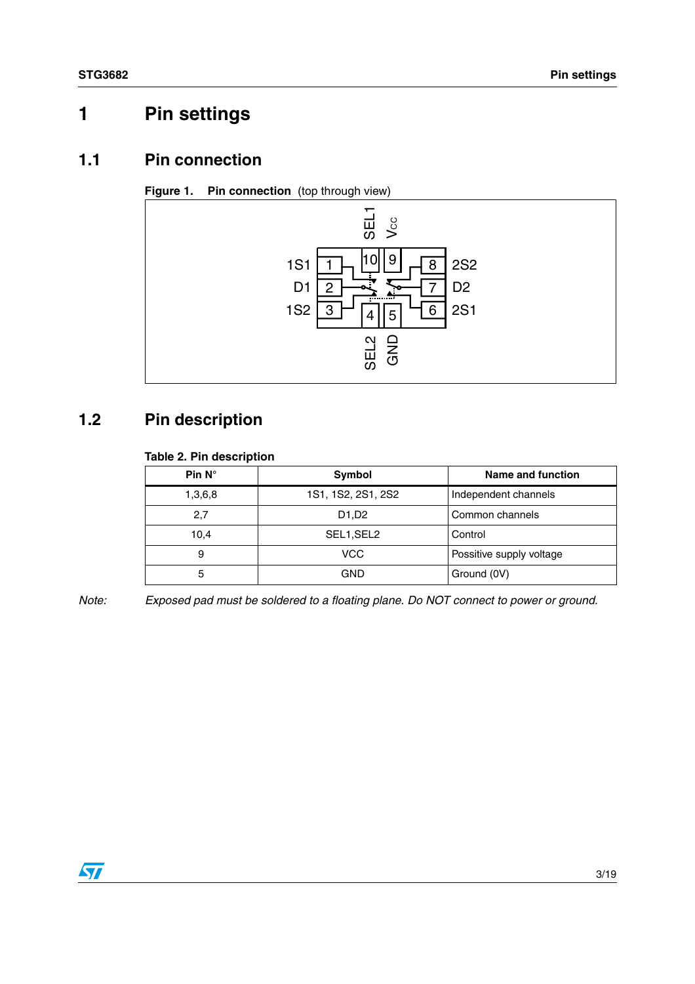## <span id="page-2-0"></span>**1 Pin settings**

### <span id="page-2-1"></span>**1.1 Pin connection**

**Figure 1. Pin connection** (top through view)



### <span id="page-2-2"></span>**1.2 Pin description**

### **Table 2. Pin description**

| Pin $N^\circ$ | Symbol             | Name and function        |
|---------------|--------------------|--------------------------|
| 1,3,6,8       | 1S1, 1S2, 2S1, 2S2 | Independent channels     |
| 2,7           | D1,D2              | Common channels          |
| 10,4          | SEL1, SEL2         | Control                  |
| 9             | VCC                | Possitive supply voltage |
| 5             | GND                | Ground (0V)              |

*Note: Exposed pad must be soldered to a floating plane. Do NOT connect to power or ground.*

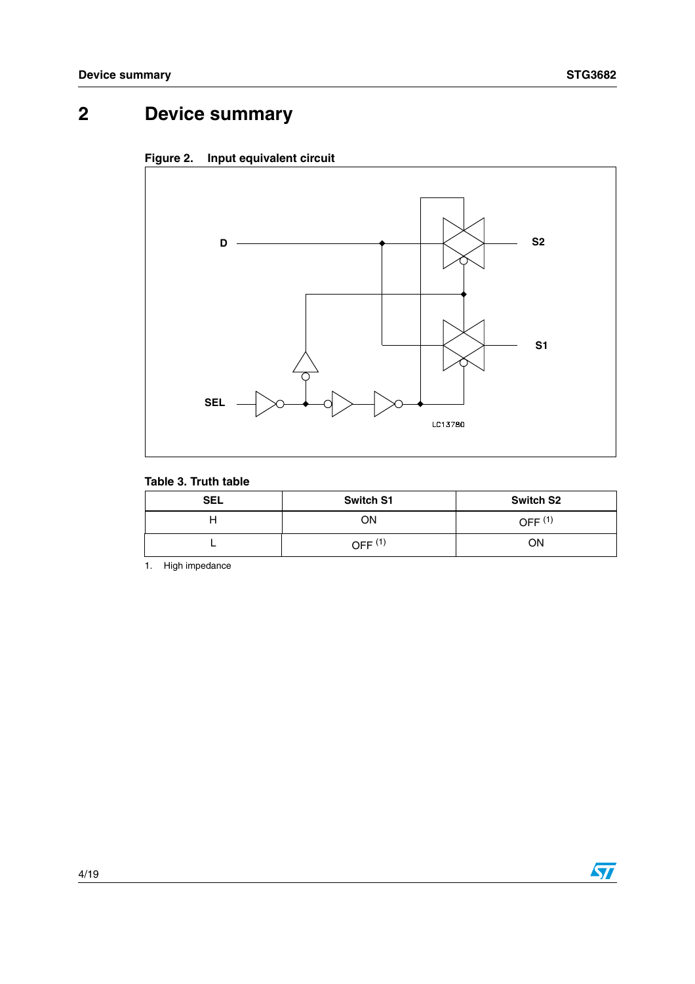## <span id="page-3-0"></span>**2 Device summary**



### **Figure 2. Input equivalent circuit**

### **Table 3. Truth table**

| <b>SEL</b> | <b>Switch S1</b> | <b>Switch S2</b> |
|------------|------------------|------------------|
|            | ОN               | OFF $(1)$        |
|            | OFF $(1)$        | ΟN               |

1. High impedance

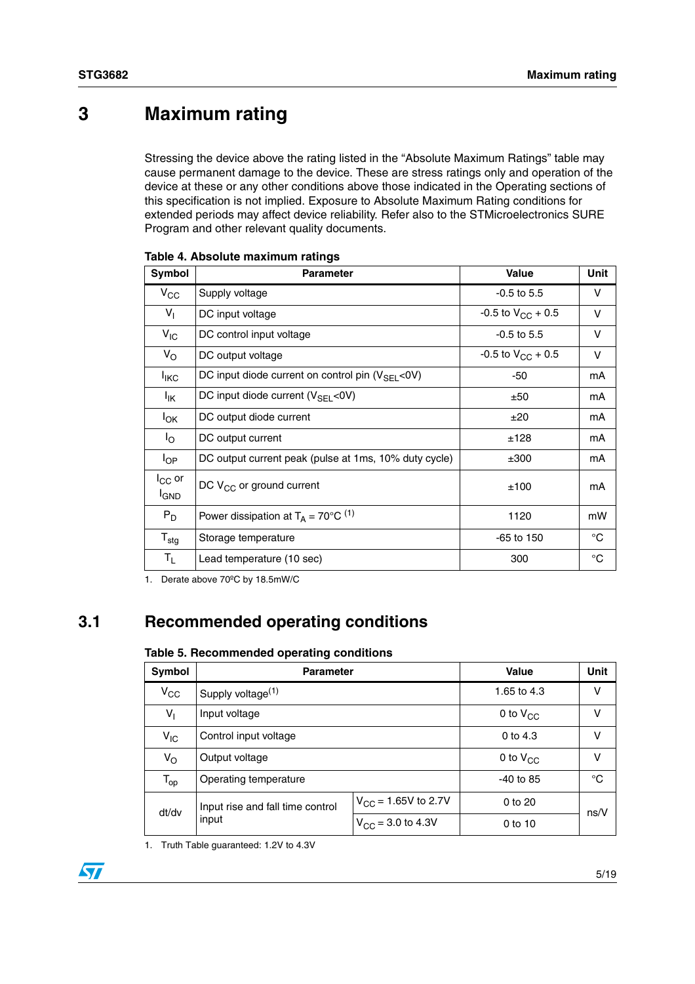## <span id="page-4-0"></span>**3 Maximum rating**

Stressing the device above the rating listed in the "Absolute Maximum Ratings" table may cause permanent damage to the device. These are stress ratings only and operation of the device at these or any other conditions above those indicated in the Operating sections of this specification is not implied. Exposure to Absolute Maximum Rating conditions for extended periods may affect device reliability. Refer also to the STMicroelectronics SURE Program and other relevant quality documents.

| Symbol                      | <b>Parameter</b>                                          | <b>Value</b>             | Unit        |
|-----------------------------|-----------------------------------------------------------|--------------------------|-------------|
| $\rm v_{\rm cc}$            | Supply voltage                                            | $-0.5$ to 5.5            | V           |
| $V_{\parallel}$             | DC input voltage                                          | $-0.5$ to $V_{CC}$ + 0.5 | v           |
| $V_{IC}$                    | DC control input voltage                                  | $-0.5$ to 5.5            | v           |
| $V_{\rm O}$                 | DC output voltage                                         | -0.5 to $V_{CC}$ + 0.5   | v           |
| <b>I</b> <sub>IKC</sub>     | DC input diode current on control pin $(V_{\rm SFI}$ <0V) | $-50$                    | mA          |
| $I_{\mathsf{IK}}$           | DC input diode current $(V_{\rm SFI}$ <0V)                | ±50                      | mA          |
| <b>I</b> <sub>OK</sub>      | DC output diode current                                   | ±20                      | mA          |
| $I_{\rm O}$                 | DC output current                                         | ±128                     | mA          |
| $I_{OP}$                    | DC output current peak (pulse at 1ms, 10% duty cycle)     | ±300                     | mA          |
| $I_{CC}$ or<br><b>I</b> GND | DC V <sub>CC</sub> or ground current                      | ±100                     | mA          |
| $P_D$                       | Power dissipation at $T_A = 70^{\circ}C^{(1)}$            | 1120                     | mW          |
| $T_{\text{stg}}$            | Storage temperature                                       | $-65$ to 150             | $^{\circ}C$ |
| $T_{L}$                     | Lead temperature (10 sec)                                 | 300                      | $^{\circ}C$ |

1. Derate above 70ºC by 18.5mW/C

### <span id="page-4-1"></span>**3.1 Recommended operating conditions**

#### **Table 5. Recommended operating conditions**

| Symbol          | <b>Parameter</b>                 | Value                         | <b>Unit</b> |      |  |
|-----------------|----------------------------------|-------------------------------|-------------|------|--|
| $V_{\rm CC}$    | Supply voltage <sup>(1)</sup>    | 1.65 to 4.3                   | v           |      |  |
| $V_{\parallel}$ | Input voltage                    | 0 to $V_{CC}$                 | v           |      |  |
| $V_{IC}$        | Control input voltage            | 0 to $4.3$                    | v           |      |  |
| Vo              | Output voltage                   | 0 to $V_{CC}$                 | V           |      |  |
| $T_{op}$        | Operating temperature            |                               | $-40$ to 85 | °C   |  |
| dt/dv           | Input rise and fall time control | $V_{CC}$ = 1.65V to 2.7V      | 0 to 20     |      |  |
|                 | input                            | $V_{\text{CC}}$ = 3.0 to 4.3V | $0$ to 10   | ns/V |  |

1. Truth Table guaranteed: 1.2V to 4.3V

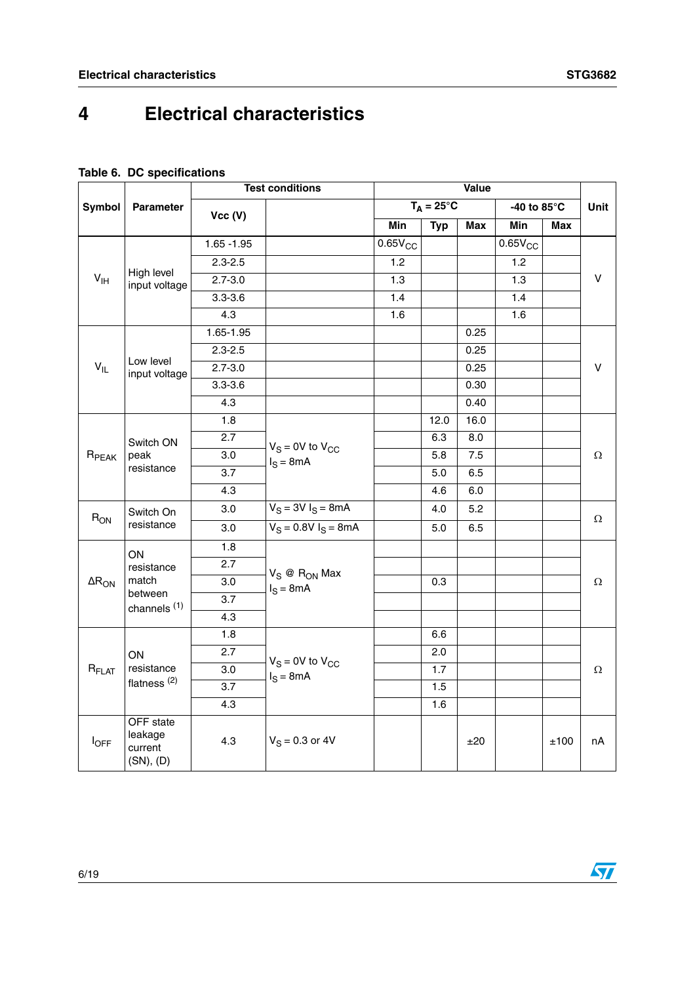## <span id="page-5-0"></span>**4 Electrical characteristics**

### **Table 6. DC specifications**

|                   |                                              | <b>Test conditions</b> |                                       |                   | Value               |      |              |             |          |
|-------------------|----------------------------------------------|------------------------|---------------------------------------|-------------------|---------------------|------|--------------|-------------|----------|
| <b>Symbol</b>     | <b>Parameter</b>                             |                        |                                       |                   | $T_A = 25^{\circ}C$ |      |              | -40 to 85°C | Unit     |
|                   |                                              | Vcc (V)                |                                       | Min<br><b>Typ</b> |                     | Max  | Min          | Max         |          |
|                   |                                              | $1.65 - 1.95$          |                                       | $0.65V_{CC}$      |                     |      | $0.65V_{CC}$ |             |          |
|                   |                                              | $2.3 - 2.5$            |                                       | 1.2               |                     |      | 1.2          |             |          |
| $V_{\text{IH}}$   | High level<br>input voltage                  | $2.7 - 3.0$            |                                       | 1.3               |                     |      | 1.3          |             | v        |
|                   |                                              | $3.3 - 3.6$            |                                       | 1.4               |                     |      | 1.4          |             |          |
|                   |                                              | 4.3                    |                                       | 1.6               |                     |      | 1.6          |             |          |
|                   |                                              | 1.65-1.95              |                                       |                   |                     | 0.25 |              |             |          |
|                   |                                              | $2.3 - 2.5$            |                                       |                   |                     | 0.25 |              |             |          |
| $V_{IL}$          | Low level<br>input voltage                   | $2.7 - 3.0$            |                                       |                   |                     | 0.25 |              |             | v        |
|                   |                                              | $3.3 - 3.6$            |                                       |                   |                     | 0.30 |              |             |          |
|                   |                                              | 4.3                    |                                       |                   |                     | 0.40 |              |             |          |
| $R_{PEAK}$        | Switch ON<br>peak<br>resistance              | 1.8                    |                                       |                   | 12.0                | 16.0 |              |             |          |
|                   |                                              | 2.7                    | $V_S = 0V$ to $V_{CC}$<br>$I_S = 8mA$ |                   | 6.3                 | 8.0  |              |             | $\Omega$ |
|                   |                                              | 3.0                    |                                       |                   | 5.8                 | 7.5  |              |             |          |
|                   |                                              | 3.7                    |                                       |                   | 5.0                 | 6.5  |              |             |          |
|                   |                                              | 4.3                    |                                       |                   | 4.6                 | 6.0  |              |             |          |
| $R_{ON}$          | Switch On                                    | 3.0                    | $V_S = 3V I_S = 8mA$                  |                   | 4.0                 | 5.2  |              |             | $\Omega$ |
|                   | resistance                                   | 3.0                    | $V_S = 0.8V I_S = 8mA$                |                   | 5.0                 | 6.5  |              |             |          |
|                   | ON                                           | 1.8                    |                                       |                   |                     |      |              |             |          |
|                   | resistance                                   | 2.7                    | $V_S \otimes R_{ON}$ Max              |                   |                     |      |              |             |          |
| $\Delta R_{ON}$   | match                                        | 3.0                    | $I_S = 8mA$                           |                   | 0.3                 |      |              |             | Ω        |
|                   | between<br>channels <sup>(1)</sup>           | 3.7                    |                                       |                   |                     |      |              |             |          |
|                   |                                              | 4.3                    |                                       |                   |                     |      |              |             |          |
|                   |                                              | 1.8                    |                                       |                   | 6.6                 |      |              |             |          |
|                   | ON                                           | 2.7                    | $V_S = 0V$ to $V_{CC}$                |                   | 2.0                 |      |              |             |          |
| R <sub>FLAT</sub> | resistance                                   | 3.0                    | $I_S = 8mA$                           |                   | 1.7                 |      |              |             | Ω        |
|                   | flatness <sup>(2)</sup>                      | $\overline{3.7}$       |                                       |                   | 1.5                 |      |              |             |          |
|                   |                                              | 4.3                    |                                       |                   | 1.6                 |      |              |             |          |
| $I_{OFF}$         | OFF state<br>leakage<br>current<br>(SN), (D) | 4.3                    | $V_S = 0.3$ or 4V                     |                   |                     | ±20  |              | ±100        | nA       |

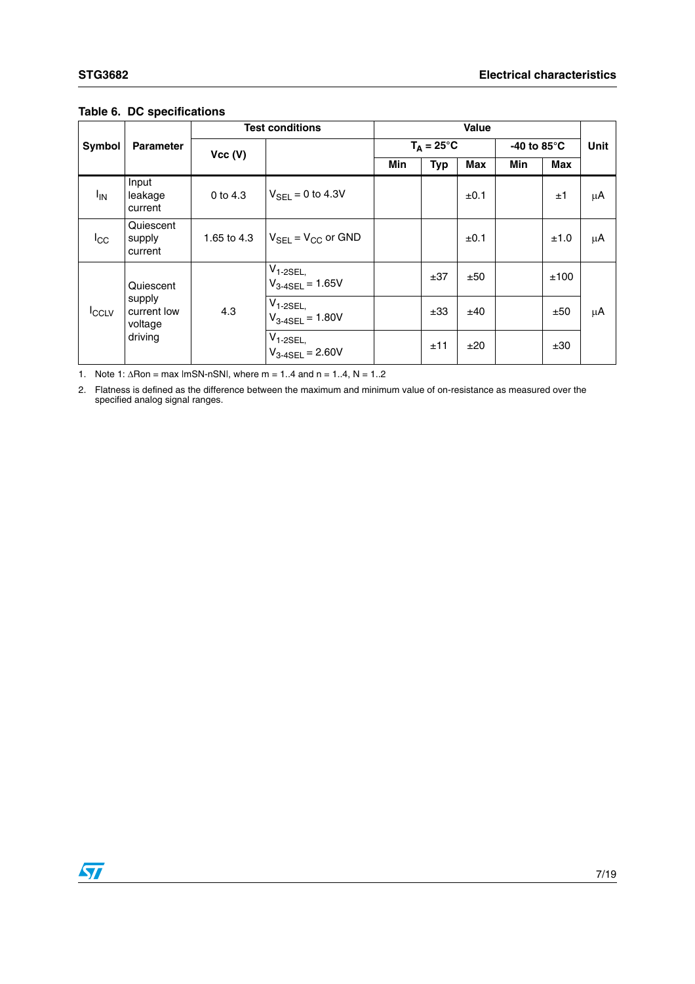|              |                                                          | <b>Test conditions</b> |                                         |                                      | <b>Value</b>        |            |                       |      |      |  |
|--------------|----------------------------------------------------------|------------------------|-----------------------------------------|--------------------------------------|---------------------|------------|-----------------------|------|------|--|
| Symbol       | <b>Parameter</b>                                         |                        |                                         |                                      | $T_A = 25^{\circ}C$ |            | -40 to 85 $\degree$ C |      | Unit |  |
|              |                                                          | Vcc (V)                |                                         | <b>Min</b>                           | <b>Typ</b>          | <b>Max</b> | Min                   | Max  |      |  |
| $I_{IN}$     | Input<br>leakage<br>current                              | 0 to $4.3$             | $V_{\rm SFI} = 0$ to 4.3V               |                                      |                     | ±0.1       |                       | ±1   | μA   |  |
| $I_{\rm CC}$ | Quiescent<br>supply<br>current                           | 1.65 to 4.3            | $V_{\text{SEL}} = V_{\text{CC}}$ or GND |                                      |                     | ±0.1       |                       | ±1.0 | μA   |  |
| <b>ICCLV</b> | Quiescent<br>supply<br>current low<br>voltage<br>driving |                        |                                         | $V_{1-2SEL}$<br>$V_{3-4SEL} = 1.65V$ |                     | ±37        | ±50                   |      | ±100 |  |
|              |                                                          | 4.3                    | $V_{1-2SEL}$<br>$V_{3-4SEL} = 1.80V$    |                                      | ±33                 | ±40        |                       | ±50  | μA   |  |
|              |                                                          |                        | $V_{1-2SEL}$<br>$V_{3-4SEL} = 2.60V$    |                                      | ±11                 | ±20        |                       | ±30  |      |  |

#### **Table 6. DC specifications**

1. Note 1:  $\triangle$ Ron = max lmSN-nSNI, where m = 1..4 and n = 1..4, N = 1..2

2. Flatness is defined as the difference between the maximum and minimum value of on-resistance as measured over the specified analog signal ranges.

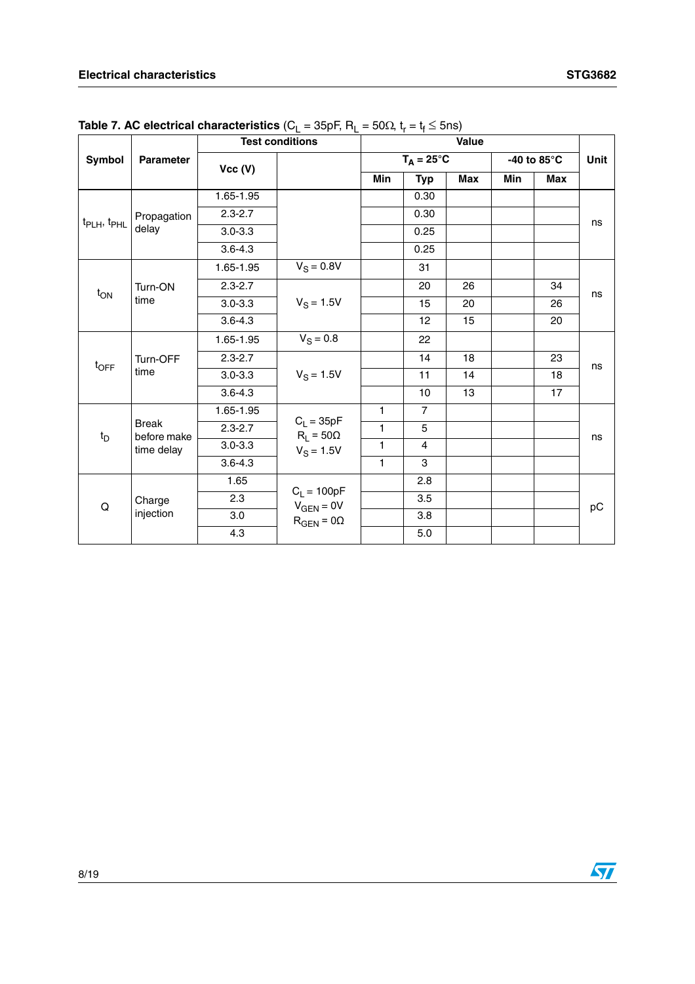|                                     |                             | <b>Test conditions</b> |                                  |              |                     |            |     |                       |      |
|-------------------------------------|-----------------------------|------------------------|----------------------------------|--------------|---------------------|------------|-----|-----------------------|------|
| <b>Symbol</b>                       | <b>Parameter</b>            | Vcc (V)                |                                  |              | $T_A = 25^{\circ}C$ |            |     | -40 to 85 $\degree$ C | Unit |
|                                     |                             |                        |                                  | Min          | <b>Typ</b>          | <b>Max</b> | Min | <b>Max</b>            |      |
|                                     |                             | $1.65 - 1.95$          |                                  |              | 0.30                |            |     |                       |      |
|                                     | Propagation                 | $2.3 - 2.7$            |                                  |              | 0.30                |            |     |                       |      |
| t <sub>PLH</sub> , t <sub>PHL</sub> | delay                       | $3.0 - 3.3$            |                                  |              | 0.25                |            |     |                       | ns   |
|                                     |                             | $3.6 - 4.3$            |                                  |              | 0.25                |            |     |                       |      |
|                                     |                             | 1.65-1.95              | $V_S = 0.8V$                     |              | 31                  |            |     |                       |      |
| t <sub>ON</sub>                     | Turn-ON                     | $2.3 - 2.7$            |                                  |              | 20                  | 26         |     | 34                    | ns   |
|                                     | time                        | $3.0 - 3.3$            | $V_S = 1.5V$                     |              | 15                  | 20         |     | 26                    |      |
|                                     |                             | $3.6 - 4.3$            |                                  |              | 12                  | 15         |     | 20                    |      |
|                                     | Turn-OFF<br>time            | 1.65-1.95              | $V_S = 0.8$                      |              | 22                  |            |     |                       |      |
|                                     |                             | $2.3 - 2.7$            |                                  |              | 14                  | 18         |     | 23                    | ns   |
| $t_{\text{OFF}}$                    |                             | $3.0 - 3.3$            | $V_S = 1.5V$                     |              | 11                  | 14         |     | 18                    |      |
|                                     |                             | $3.6 - 4.3$            |                                  |              | 10                  | 13         |     | 17                    |      |
|                                     |                             | 1.65-1.95              |                                  | $\mathbf{1}$ | $\overline{7}$      |            |     |                       |      |
| $t_D$                               | <b>Break</b><br>before make | $2.3 - 2.7$            | $C_L = 35pF$<br>$R_1 = 50\Omega$ | 1            | 5                   |            |     |                       | ns   |
|                                     | time delay                  | $3.0 - 3.3$            | $V_S = 1.5V$                     | 1            | 4                   |            |     |                       |      |
|                                     |                             | $3.6 - 4.3$            |                                  | $\mathbf{1}$ | 3                   |            |     |                       |      |
|                                     |                             | 1.65                   |                                  |              | 2.8                 |            |     |                       |      |
| Q                                   | Charge                      | 2.3                    | $C_L = 100pF$<br>$V_{GEN} = 0V$  |              | 3.5                 |            |     |                       | pC   |
|                                     | injection                   | 3.0                    | $R_{GEN} = 0\Omega$              |              | 3.8                 |            |     |                       |      |
|                                     |                             | 4.3                    |                                  |              | 5.0                 |            |     |                       |      |

**Table 7. AC electrical characteristics**  $(C_L = 35pF, R_L = 50\Omega, t_r = t_f \le 5ns)$ 

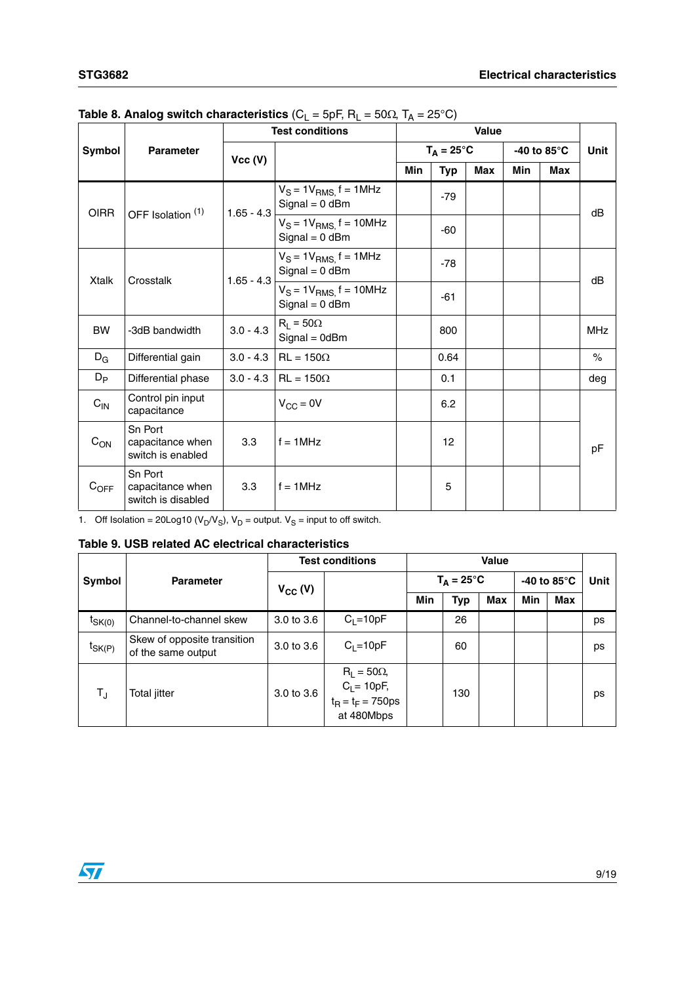|                  | ັ                                                 | ◟<br><b>Test conditions</b> |                                                  | <u>n</u><br><b>Value</b> |       |                     |            |             |             |
|------------------|---------------------------------------------------|-----------------------------|--------------------------------------------------|--------------------------|-------|---------------------|------------|-------------|-------------|
| Symbol           | <b>Parameter</b>                                  |                             |                                                  |                          |       | $T_A = 25^{\circ}C$ |            | -40 to 85°C | <b>Unit</b> |
|                  |                                                   | Vec(V)                      |                                                  | Min                      | Typ   | <b>Max</b>          | <b>Min</b> | Max         |             |
| <b>OIRR</b>      | OFF Isolation (1)                                 | $1.65 - 4.3$                | $V_S = 1V_{RMS}$ , f = 1MHz<br>$Signal = 0$ dBm  |                          | $-79$ |                     |            |             | dB          |
|                  |                                                   |                             | $V_S = 1V_{RMS}$ , f = 10MHz<br>$Signal = 0$ dBm |                          | $-60$ |                     |            |             |             |
|                  | <b>Xtalk</b><br>Crosstalk                         | $1.65 - 4.3$                | $V_S = 1V_{RMS}$ f = 1MHz<br>$Signal = 0$ dBm    |                          | $-78$ |                     |            |             | dB          |
|                  |                                                   |                             | $V_S = 1V_{RMS}$ , f = 10MHz<br>$Signal = 0$ dBm |                          | -61   |                     |            |             |             |
| <b>BW</b>        | -3dB bandwidth                                    | $3.0 - 4.3$                 | $R_1 = 50\Omega$<br>$Signal = 0dBm$              |                          | 800   |                     |            |             | <b>MHz</b>  |
| $D_{G}$          | Differential gain                                 | $3.0 - 4.3$                 | $RL = 150\Omega$                                 |                          | 0.64  |                     |            |             | $\%$        |
| $D_{\mathsf{P}}$ | Differential phase                                | $3.0 - 4.3$                 | $RL = 150\Omega$                                 |                          | 0.1   |                     |            |             | deg         |
| $C_{IN}$         | Control pin input<br>capacitance                  |                             | $V_{CC} = 0V$                                    |                          | 6.2   |                     |            |             |             |
| $C_{ON}$         | Sn Port<br>capacitance when<br>switch is enabled  | 3.3                         | $f = 1$ MHz                                      |                          | 12    |                     |            |             | pF          |
| $C_{OFF}$        | Sn Port<br>capacitance when<br>switch is disabled | 3.3                         | $f = 1$ MHz                                      |                          | 5     |                     |            |             |             |

### <span id="page-8-0"></span>**Table 8. Analog switch characteristics** (C<sub>L</sub> = 5pF, R<sub>L</sub> = 50Ω, T<sub>A</sub> = 25°C)

1. Off Isolation = 20Log10 ( $V_D/V_S$ ),  $V_D$  = output.  $V_S$  = input to off switch.

#### **Table 9. USB related AC electrical characteristics**

| Symbol      |                                                   | <b>Test conditions</b> |                                                                        | <b>Value</b>        |            |            |                       |            |      |
|-------------|---------------------------------------------------|------------------------|------------------------------------------------------------------------|---------------------|------------|------------|-----------------------|------------|------|
|             | <b>Parameter</b>                                  | $V_{CC} (V)$           |                                                                        | $T_A = 25^{\circ}C$ |            |            | -40 to 85 $\degree$ C |            | Unit |
|             |                                                   |                        |                                                                        | Min                 | <b>Typ</b> | <b>Max</b> | Min                   | <b>Max</b> |      |
| $t_{SK(0)}$ | Channel-to-channel skew                           | 3.0 to 3.6             | $C_1 = 10pF$                                                           |                     | 26         |            |                       |            | ps   |
| $t_{SK(P)}$ | Skew of opposite transition<br>of the same output | 3.0 to 3.6             | $C_1 = 10pF$                                                           |                     | 60         |            |                       |            | ps   |
| $T_{\sf J}$ | Total jitter                                      | 3.0 to 3.6             | $R_L = 50\Omega$<br>$C_L = 10pF,$<br>$t_R = t_F = 750ps$<br>at 480Mbps |                     | 130        |            |                       |            | ps   |

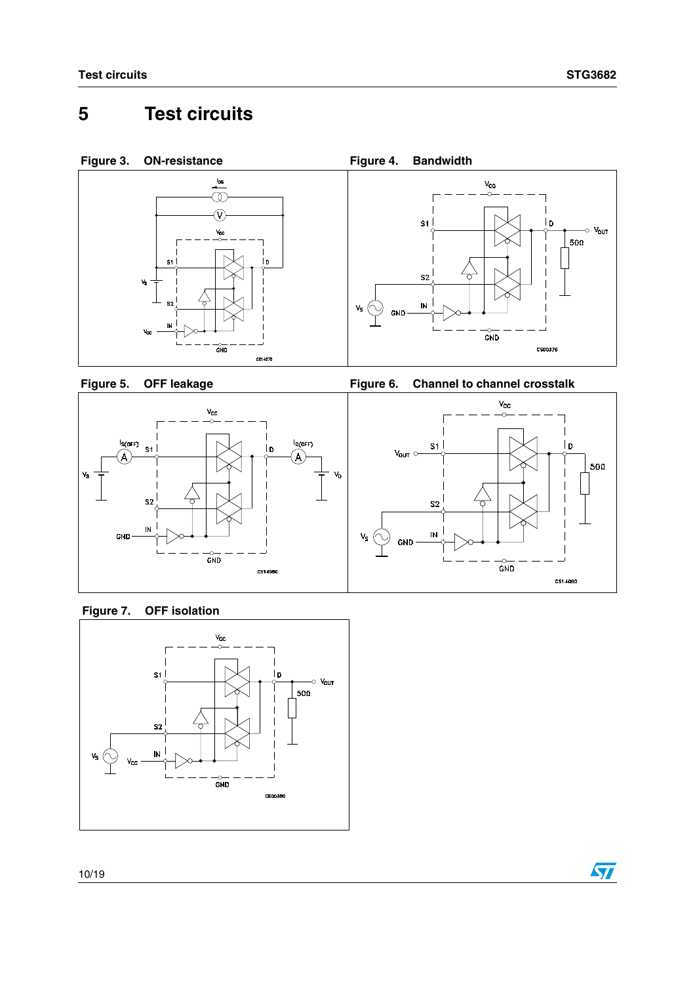## <span id="page-9-0"></span>**5 Test circuits**









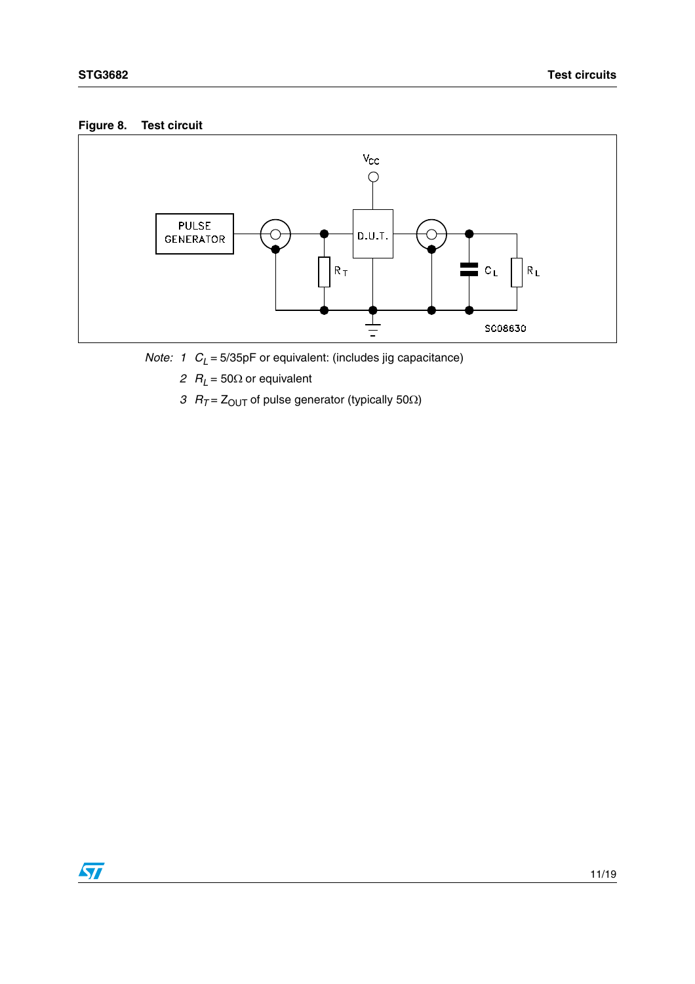### **Figure 8. Test circuit**



- *Note: 1*  $C_L$  *= 5/35pF* or equivalent: (includes jig capacitance)
	- *2 RL* = 50Ω or equivalent
	- *3*  $R_T = Z_{\text{OUT}}$  of pulse generator (typically 50 $\Omega$ )

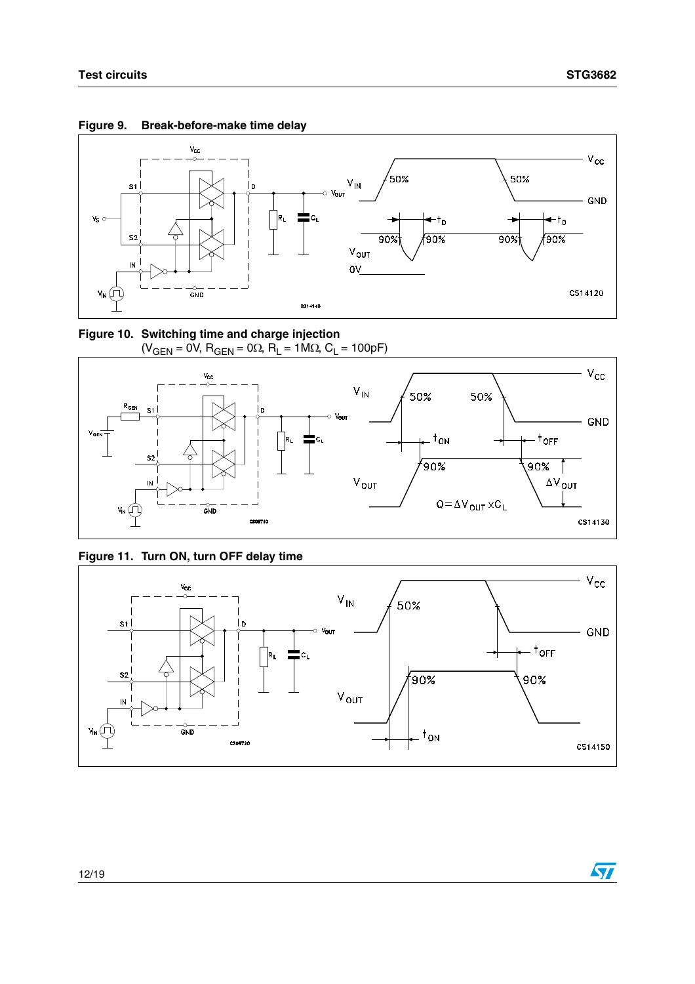

**Figure 9. Break-before-make time delay**





**Figure 11. Turn ON, turn OFF delay time**

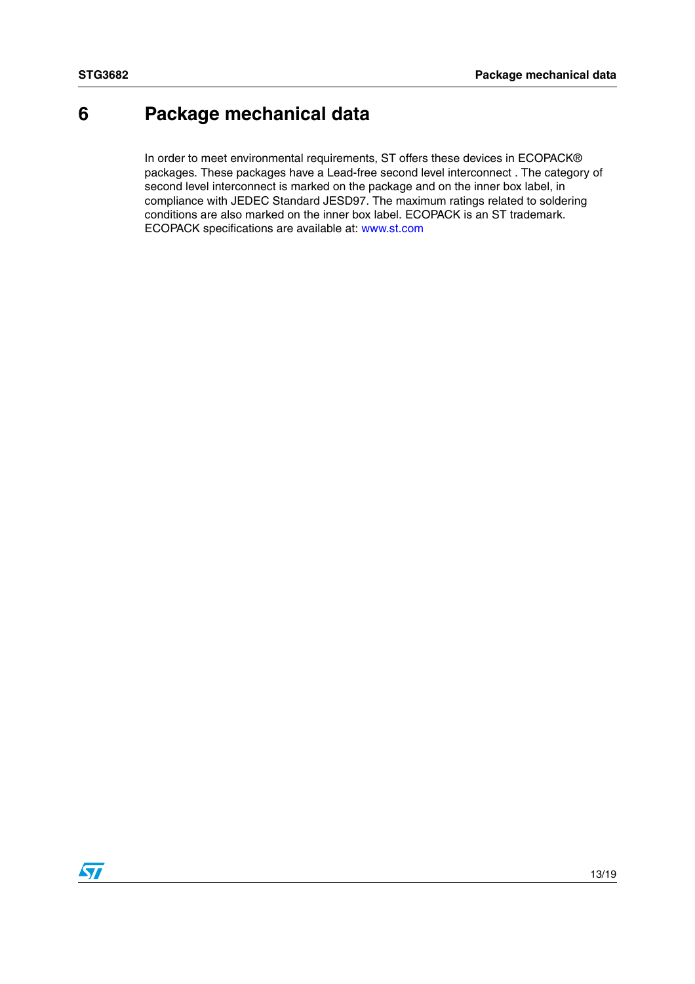## <span id="page-12-0"></span>**6 Package mechanical data**

In order to meet environmental requirements, ST offers these devices in ECOPACK® packages. These packages have a Lead-free second level interconnect . The category of second level interconnect is marked on the package and on the inner box label, in compliance with JEDEC Standard JESD97. The maximum ratings related to soldering conditions are also marked on the inner box label. ECOPACK is an ST trademark. ECOPACK specifications are available at: www.st.com

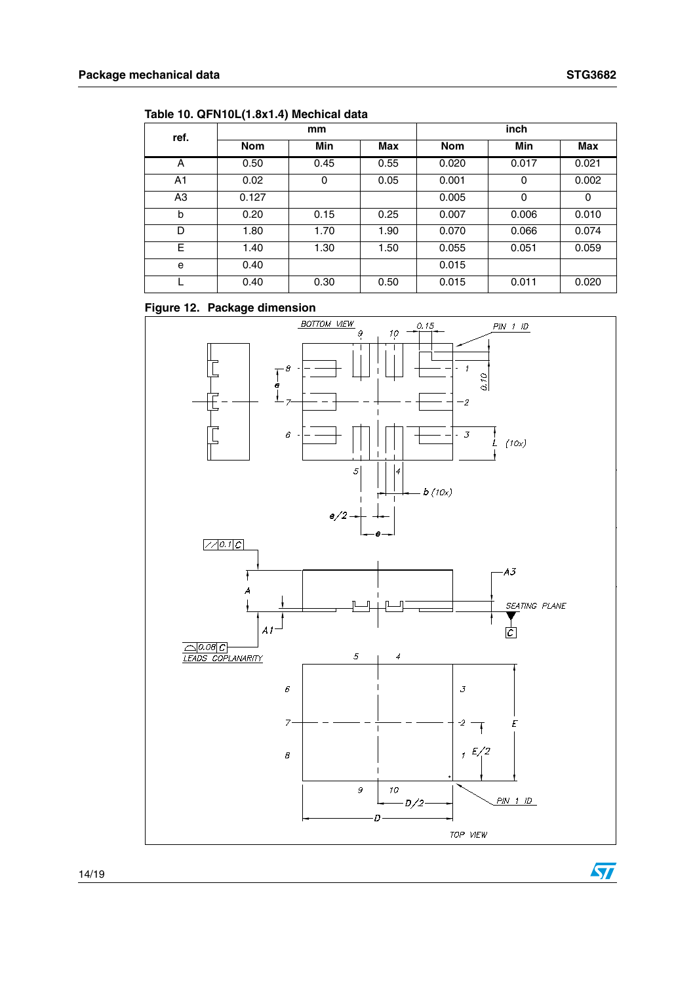$\sqrt{2}$ 

| ref.           | mm         |      |            | inch       |       |       |
|----------------|------------|------|------------|------------|-------|-------|
|                | <b>Nom</b> | Min  | <b>Max</b> | <b>Nom</b> | Min   | Max   |
| A              | 0.50       | 0.45 | 0.55       | 0.020      | 0.017 | 0.021 |
| A <sub>1</sub> | 0.02       | 0    | 0.05       | 0.001      | 0     | 0.002 |
| A3             | 0.127      |      |            | 0.005      | 0     | 0     |
| b              | 0.20       | 0.15 | 0.25       | 0.007      | 0.006 | 0.010 |
| D              | 1.80       | 1.70 | 1.90       | 0.070      | 0.066 | 0.074 |
| E              | 1.40       | 1.30 | 1.50       | 0.055      | 0.051 | 0.059 |
| e              | 0.40       |      |            | 0.015      |       |       |
|                | 0.40       | 0.30 | 0.50       | 0.015      | 0.011 | 0.020 |

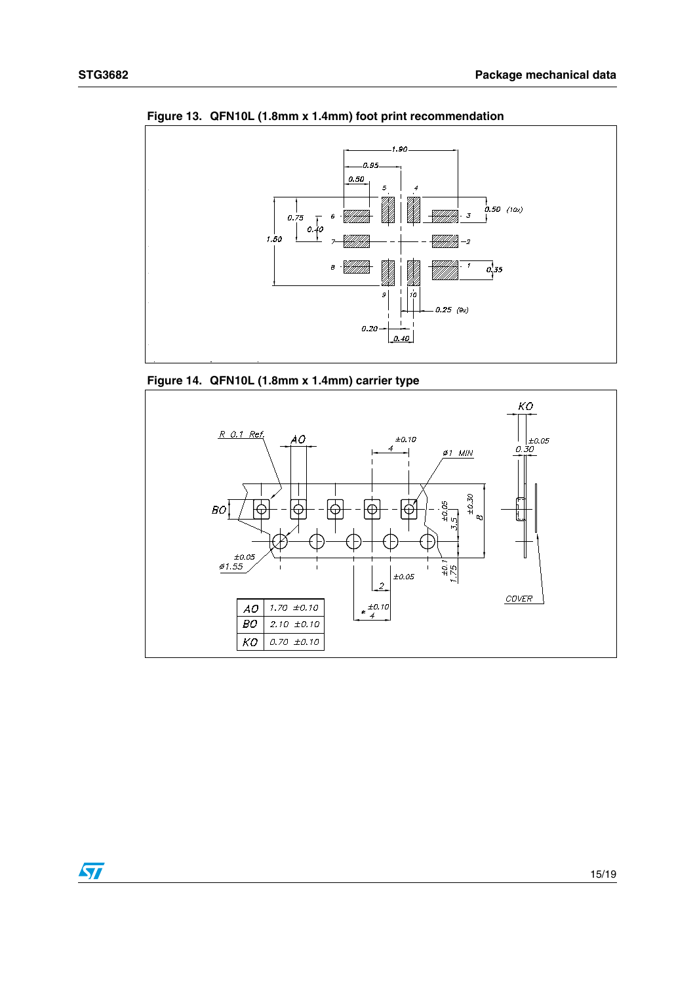

**Figure 13. QFN10L (1.8mm x 1.4mm) foot print recommendation**

**Figure 14. QFN10L (1.8mm x 1.4mm) carrier type**



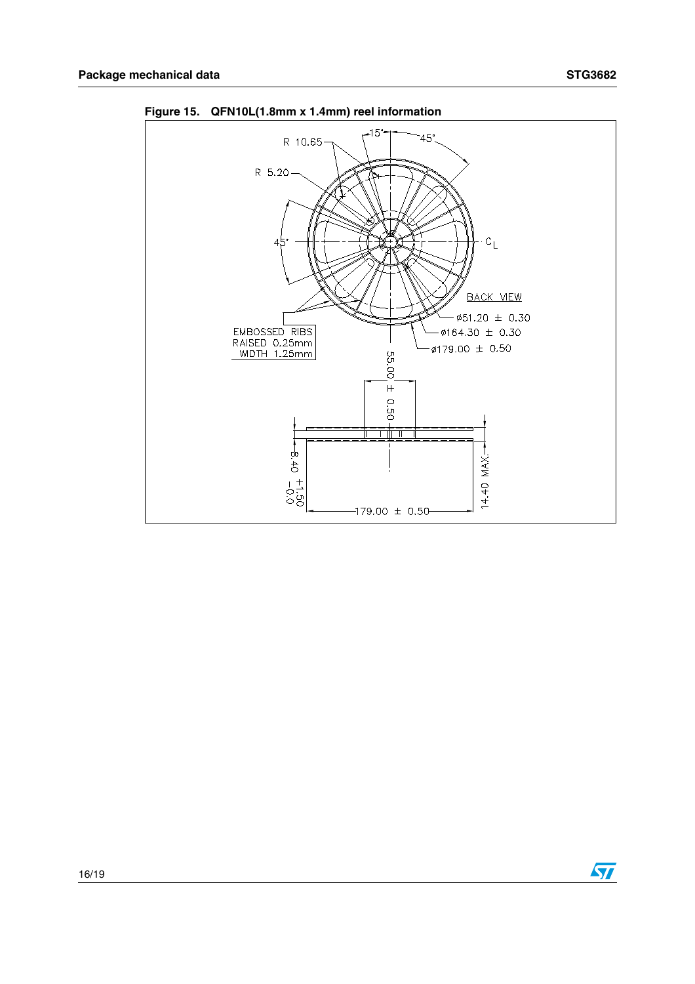

**Figure 15. QFN10L(1.8mm x 1.4mm) reel information**

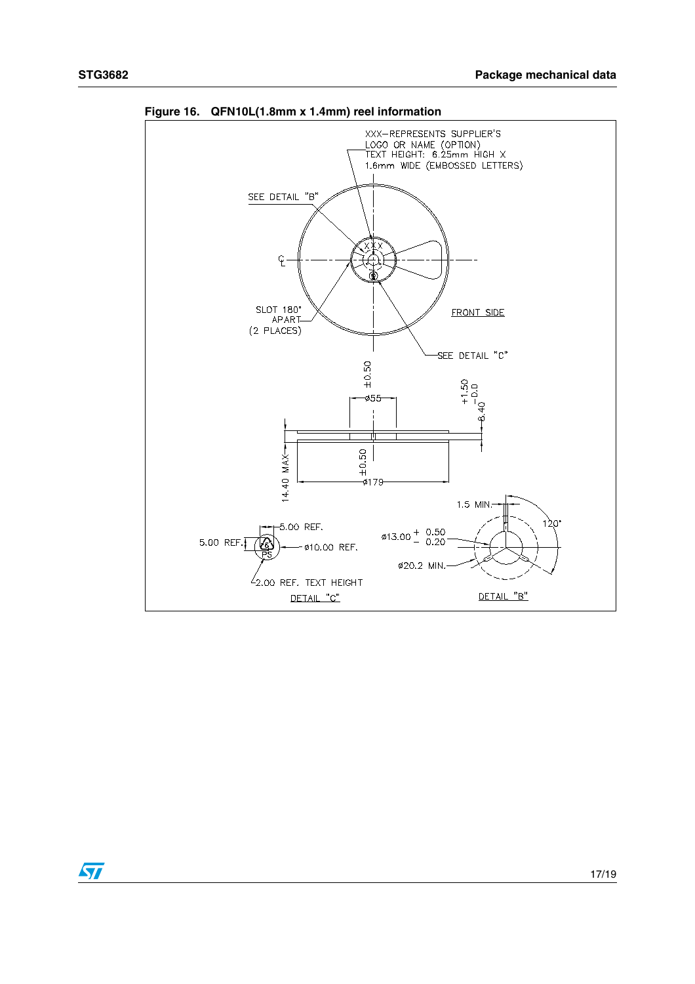

**Figure 16. QFN10L(1.8mm x 1.4mm) reel information**

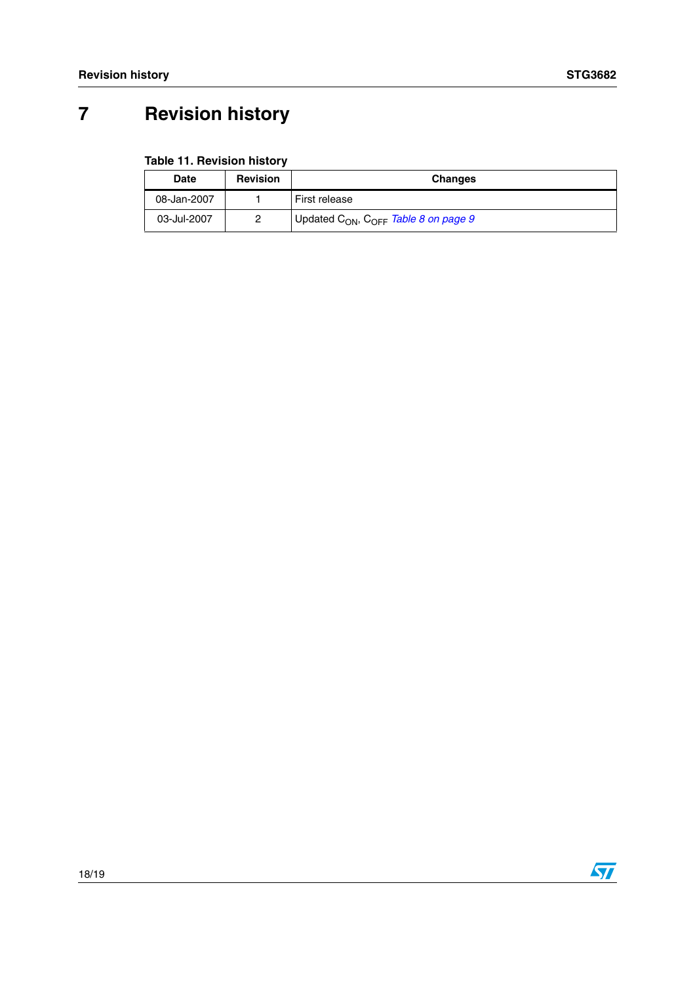## <span id="page-17-0"></span>**7 Revision history**

| Date        | <b>Revision</b> | <b>Changes</b>                                               |
|-------------|-----------------|--------------------------------------------------------------|
| 08-Jan-2007 |                 | First release                                                |
| 03-Jul-2007 |                 | Updated C <sub>ON</sub> , C <sub>OFF</sub> Table 8 on page 9 |